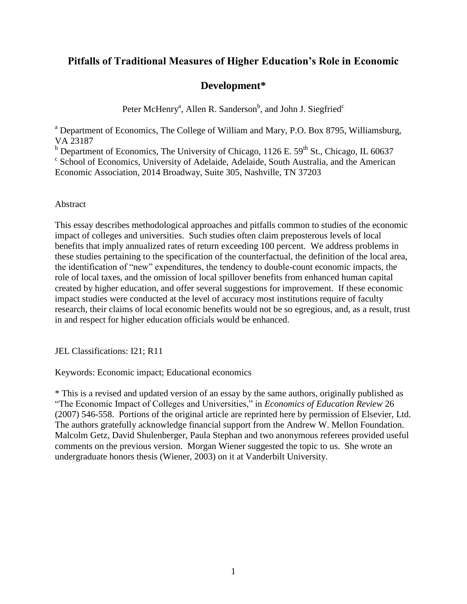# **Pitfalls of Traditional Measures of Higher Education's Role in Economic**

## **Development\***

Peter McHenry<sup>a</sup>, Allen R. Sanderson<sup>b</sup>, and John J. Siegfried<sup>c</sup>

<sup>a</sup> Department of Economics, The College of William and Mary, P.O. Box 8795, Williamsburg, VA 23187

 $b$  Department of Economics, The University of Chicago, 1126 E. 59<sup>th</sup> St., Chicago, IL 60637 <sup>c</sup> School of Economics, University of Adelaide, Adelaide, South Australia, and the American Economic Association, 2014 Broadway, Suite 305, Nashville, TN 37203

## Abstract

This essay describes methodological approaches and pitfalls common to studies of the economic impact of colleges and universities. Such studies often claim preposterous levels of local benefits that imply annualized rates of return exceeding 100 percent. We address problems in these studies pertaining to the specification of the counterfactual, the definition of the local area, the identification of "new" expenditures, the tendency to double-count economic impacts, the role of local taxes, and the omission of local spillover benefits from enhanced human capital created by higher education, and offer several suggestions for improvement. If these economic impact studies were conducted at the level of accuracy most institutions require of faculty research, their claims of local economic benefits would not be so egregious, and, as a result, trust in and respect for higher education officials would be enhanced.

JEL Classifications: I21; R11

Keywords: Economic impact; Educational economics

\* This is a revised and updated version of an essay by the same authors, originally published as ―The Economic Impact of Colleges and Universities,‖ in *Economics of Education Review* 26 (2007) 546-558. Portions of the original article are reprinted here by permission of Elsevier, Ltd. The authors gratefully acknowledge financial support from the Andrew W. Mellon Foundation. Malcolm Getz, David Shulenberger, Paula Stephan and two anonymous referees provided useful comments on the previous version. Morgan Wiener suggested the topic to us. She wrote an undergraduate honors thesis (Wiener, 2003) on it at Vanderbilt University.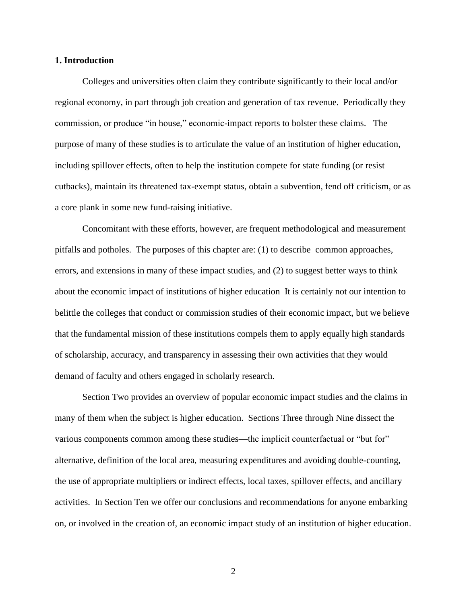#### **1. Introduction**

Colleges and universities often claim they contribute significantly to their local and/or regional economy, in part through job creation and generation of tax revenue. Periodically they commission, or produce "in house," economic-impact reports to bolster these claims. The purpose of many of these studies is to articulate the value of an institution of higher education, including spillover effects, often to help the institution compete for state funding (or resist cutbacks), maintain its threatened tax-exempt status, obtain a subvention, fend off criticism, or as a core plank in some new fund-raising initiative.

Concomitant with these efforts, however, are frequent methodological and measurement pitfalls and potholes. The purposes of this chapter are: (1) to describe common approaches, errors, and extensions in many of these impact studies, and (2) to suggest better ways to think about the economic impact of institutions of higher education It is certainly not our intention to belittle the colleges that conduct or commission studies of their economic impact, but we believe that the fundamental mission of these institutions compels them to apply equally high standards of scholarship, accuracy, and transparency in assessing their own activities that they would demand of faculty and others engaged in scholarly research.

Section Two provides an overview of popular economic impact studies and the claims in many of them when the subject is higher education. Sections Three through Nine dissect the various components common among these studies—the implicit counterfactual or "but for" alternative, definition of the local area, measuring expenditures and avoiding double-counting, the use of appropriate multipliers or indirect effects, local taxes, spillover effects, and ancillary activities. In Section Ten we offer our conclusions and recommendations for anyone embarking on, or involved in the creation of, an economic impact study of an institution of higher education.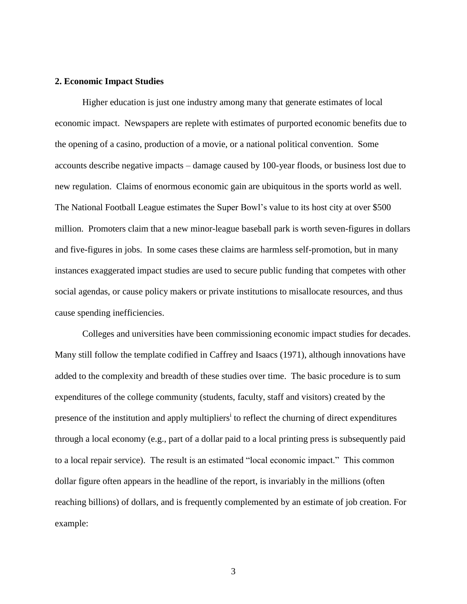#### **2. Economic Impact Studies**

Higher education is just one industry among many that generate estimates of local economic impact. Newspapers are replete with estimates of purported economic benefits due to the opening of a casino, production of a movie, or a national political convention. Some accounts describe negative impacts – damage caused by 100-year floods, or business lost due to new regulation. Claims of enormous economic gain are ubiquitous in the sports world as well. The National Football League estimates the Super Bowl's value to its host city at over \$500 million. Promoters claim that a new minor-league baseball park is worth seven-figures in dollars and five-figures in jobs. In some cases these claims are harmless self-promotion, but in many instances exaggerated impact studies are used to secure public funding that competes with other social agendas, or cause policy makers or private institutions to misallocate resources, and thus cause spending inefficiencies.

Colleges and universities have been commissioning economic impact studies for decades. Many still follow the template codified in Caffrey and Isaacs (1971), although innovations have added to the complexity and breadth of these studies over time. The basic procedure is to sum expenditures of the college community (students, faculty, staff and visitors) created by the presence of the institution and apply multipliers<sup>i</sup> to reflect the churning of direct expenditures through a local economy (e.g., part of a dollar paid to a local printing press is subsequently paid to a local repair service). The result is an estimated "local economic impact." This common dollar figure often appears in the headline of the report, is invariably in the millions (often reaching billions) of dollars, and is frequently complemented by an estimate of job creation. For example: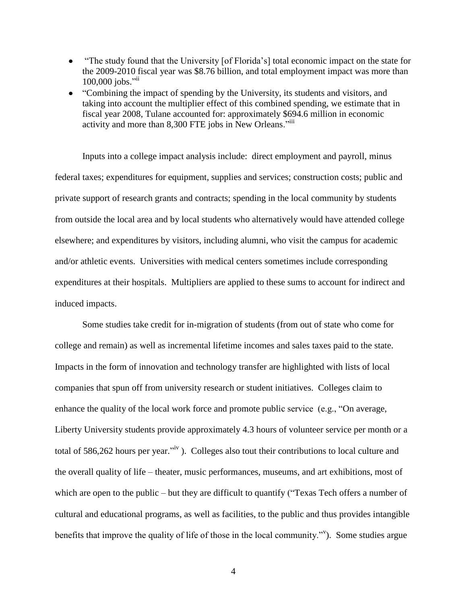- "The study found that the University [of Florida's] total economic impact on the state for the 2009-2010 fiscal year was \$8.76 billion, and total employment impact was more than 100,000 jobs."ii
- ―Combining the impact of spending by the University, its students and visitors, and taking into account the multiplier effect of this combined spending, we estimate that in fiscal year 2008, Tulane accounted for: approximately \$694.6 million in economic activity and more than 8,300 FTE jobs in New Orleans."iii

Inputs into a college impact analysis include: direct employment and payroll, minus federal taxes; expenditures for equipment, supplies and services; construction costs; public and private support of research grants and contracts; spending in the local community by students from outside the local area and by local students who alternatively would have attended college elsewhere; and expenditures by visitors, including alumni, who visit the campus for academic and/or athletic events. Universities with medical centers sometimes include corresponding expenditures at their hospitals. Multipliers are applied to these sums to account for indirect and induced impacts.

Some studies take credit for in-migration of students (from out of state who come for college and remain) as well as incremental lifetime incomes and sales taxes paid to the state. Impacts in the form of innovation and technology transfer are highlighted with lists of local companies that spun off from university research or student initiatives. Colleges claim to enhance the quality of the local work force and promote public service (e.g., ―On average, Liberty University students provide approximately 4.3 hours of volunteer service per month or a total of 586,262 hours per year."<sup>iv</sup>). Colleges also tout their contributions to local culture and the overall quality of life – theater, music performances, museums, and art exhibitions, most of which are open to the public – but they are difficult to quantify ("Texas Tech offers a number of cultural and educational programs, as well as facilities, to the public and thus provides intangible benefits that improve the quality of life of those in the local community."<sup>v</sup>). Some studies argue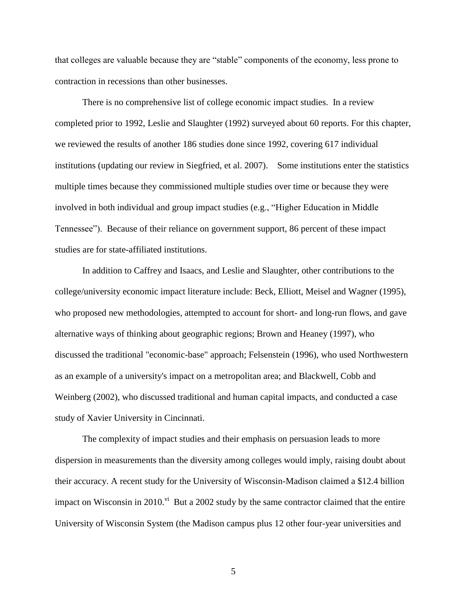that colleges are valuable because they are "stable" components of the economy, less prone to contraction in recessions than other businesses.

There is no comprehensive list of college economic impact studies. In a review completed prior to 1992, Leslie and Slaughter (1992) surveyed about 60 reports. For this chapter, we reviewed the results of another 186 studies done since 1992, covering 617 individual institutions (updating our review in Siegfried, et al. 2007). Some institutions enter the statistics multiple times because they commissioned multiple studies over time or because they were involved in both individual and group impact studies (e.g., "Higher Education in Middle Tennessee"). Because of their reliance on government support, 86 percent of these impact studies are for state-affiliated institutions.

In addition to Caffrey and Isaacs, and Leslie and Slaughter, other contributions to the college/university economic impact literature include: Beck, Elliott, Meisel and Wagner (1995), who proposed new methodologies, attempted to account for short- and long-run flows, and gave alternative ways of thinking about geographic regions; Brown and Heaney (1997), who discussed the traditional "economic-base" approach; Felsenstein (1996), who used Northwestern as an example of a university's impact on a metropolitan area; and Blackwell, Cobb and Weinberg (2002), who discussed traditional and human capital impacts, and conducted a case study of Xavier University in Cincinnati.

The complexity of impact studies and their emphasis on persuasion leads to more dispersion in measurements than the diversity among colleges would imply, raising doubt about their accuracy. A recent study for the University of Wisconsin-Madison claimed a \$12.4 billion impact on Wisconsin in 2010.<sup> $vi$ </sup> But a 2002 study by the same contractor claimed that the entire University of Wisconsin System (the Madison campus plus 12 other four-year universities and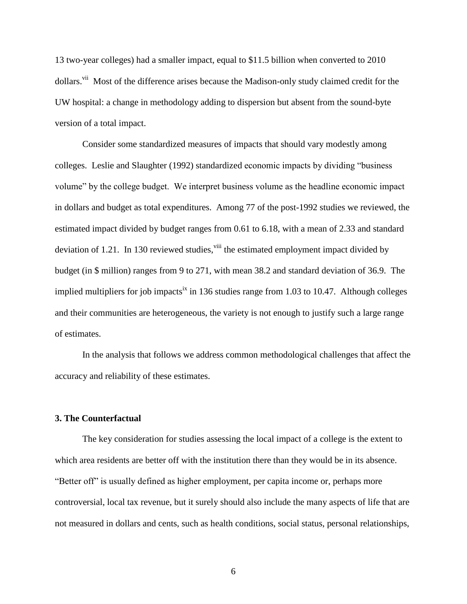13 two-year colleges) had a smaller impact, equal to \$11.5 billion when converted to 2010 dollars.<sup>vii</sup> Most of the difference arises because the Madison-only study claimed credit for the UW hospital: a change in methodology adding to dispersion but absent from the sound-byte version of a total impact.

Consider some standardized measures of impacts that should vary modestly among colleges. Leslie and Slaughter (1992) standardized economic impacts by dividing "business volume" by the college budget. We interpret business volume as the headline economic impact in dollars and budget as total expenditures. Among 77 of the post-1992 studies we reviewed, the estimated impact divided by budget ranges from 0.61 to 6.18, with a mean of 2.33 and standard deviation of 1.21. In 130 reviewed studies,  $\frac{v}{v}$  the estimated employment impact divided by budget (in \$ million) ranges from 9 to 271, with mean 38.2 and standard deviation of 36.9. The implied multipliers for job impacts<sup>ix</sup> in 136 studies range from 1.03 to 10.47. Although colleges and their communities are heterogeneous, the variety is not enough to justify such a large range of estimates.

In the analysis that follows we address common methodological challenges that affect the accuracy and reliability of these estimates.

## **3. The Counterfactual**

The key consideration for studies assessing the local impact of a college is the extent to which area residents are better off with the institution there than they would be in its absence. "Better off" is usually defined as higher employment, per capita income or, perhaps more controversial, local tax revenue, but it surely should also include the many aspects of life that are not measured in dollars and cents, such as health conditions, social status, personal relationships,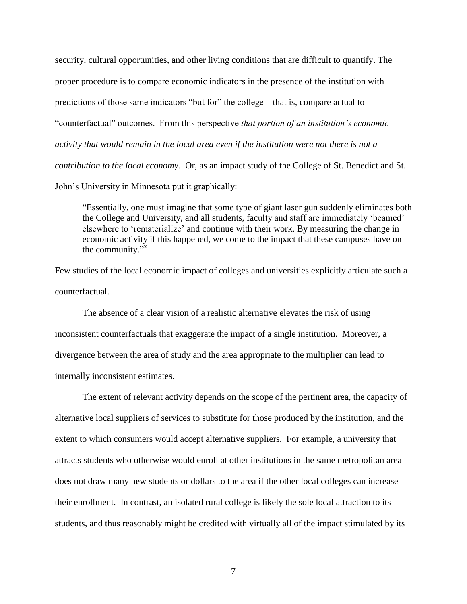security, cultural opportunities, and other living conditions that are difficult to quantify. The proper procedure is to compare economic indicators in the presence of the institution with predictions of those same indicators "but for" the college – that is, compare actual to ―counterfactual‖ outcomes. From this perspective *that portion of an institution's economic activity that would remain in the local area even if the institution were not there is not a contribution to the local economy.* Or, as an impact study of the College of St. Benedict and St. John's University in Minnesota put it graphically:

―Essentially, one must imagine that some type of giant laser gun suddenly eliminates both the College and University, and all students, faculty and staff are immediately 'beamed' elsewhere to 'rematerialize' and continue with their work. By measuring the change in economic activity if this happened, we come to the impact that these campuses have on the community. $\dddot{r}$ 

Few studies of the local economic impact of colleges and universities explicitly articulate such a counterfactual.

The absence of a clear vision of a realistic alternative elevates the risk of using inconsistent counterfactuals that exaggerate the impact of a single institution. Moreover, a divergence between the area of study and the area appropriate to the multiplier can lead to internally inconsistent estimates.

The extent of relevant activity depends on the scope of the pertinent area, the capacity of alternative local suppliers of services to substitute for those produced by the institution, and the extent to which consumers would accept alternative suppliers. For example, a university that attracts students who otherwise would enroll at other institutions in the same metropolitan area does not draw many new students or dollars to the area if the other local colleges can increase their enrollment. In contrast, an isolated rural college is likely the sole local attraction to its students, and thus reasonably might be credited with virtually all of the impact stimulated by its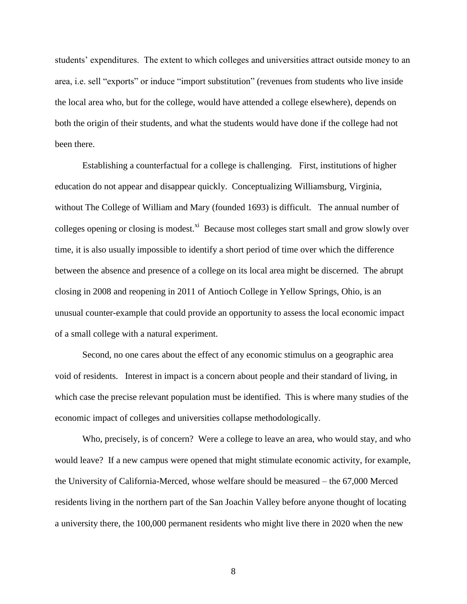students' expenditures. The extent to which colleges and universities attract outside money to an area, i.e. sell "exports" or induce "import substitution" (revenues from students who live inside the local area who, but for the college, would have attended a college elsewhere), depends on both the origin of their students, and what the students would have done if the college had not been there.

Establishing a counterfactual for a college is challenging. First, institutions of higher education do not appear and disappear quickly. Conceptualizing Williamsburg, Virginia, without The College of William and Mary (founded 1693) is difficult. The annual number of colleges opening or closing is modest. $^{\text{xi}}$  Because most colleges start small and grow slowly over time, it is also usually impossible to identify a short period of time over which the difference between the absence and presence of a college on its local area might be discerned. The abrupt closing in 2008 and reopening in 2011 of Antioch College in Yellow Springs, Ohio, is an unusual counter-example that could provide an opportunity to assess the local economic impact of a small college with a natural experiment.

Second, no one cares about the effect of any economic stimulus on a geographic area void of residents. Interest in impact is a concern about people and their standard of living, in which case the precise relevant population must be identified. This is where many studies of the economic impact of colleges and universities collapse methodologically.

Who, precisely, is of concern? Were a college to leave an area, who would stay, and who would leave? If a new campus were opened that might stimulate economic activity, for example, the University of California-Merced, whose welfare should be measured – the 67,000 Merced residents living in the northern part of the San Joachin Valley before anyone thought of locating a university there, the 100,000 permanent residents who might live there in 2020 when the new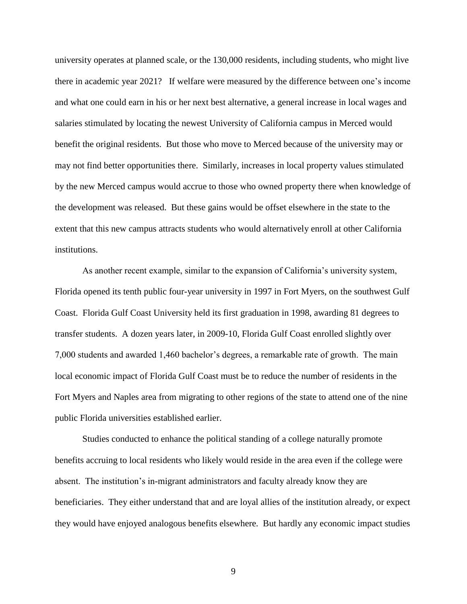university operates at planned scale, or the 130,000 residents, including students, who might live there in academic year 2021? If welfare were measured by the difference between one's income and what one could earn in his or her next best alternative, a general increase in local wages and salaries stimulated by locating the newest University of California campus in Merced would benefit the original residents. But those who move to Merced because of the university may or may not find better opportunities there. Similarly, increases in local property values stimulated by the new Merced campus would accrue to those who owned property there when knowledge of the development was released. But these gains would be offset elsewhere in the state to the extent that this new campus attracts students who would alternatively enroll at other California institutions.

As another recent example, similar to the expansion of California's university system, Florida opened its tenth public four-year university in 1997 in Fort Myers, on the southwest Gulf Coast. Florida Gulf Coast University held its first graduation in 1998, awarding 81 degrees to transfer students. A dozen years later, in 2009-10, Florida Gulf Coast enrolled slightly over 7,000 students and awarded 1,460 bachelor's degrees, a remarkable rate of growth. The main local economic impact of Florida Gulf Coast must be to reduce the number of residents in the Fort Myers and Naples area from migrating to other regions of the state to attend one of the nine public Florida universities established earlier.

Studies conducted to enhance the political standing of a college naturally promote benefits accruing to local residents who likely would reside in the area even if the college were absent. The institution's in-migrant administrators and faculty already know they are beneficiaries. They either understand that and are loyal allies of the institution already, or expect they would have enjoyed analogous benefits elsewhere. But hardly any economic impact studies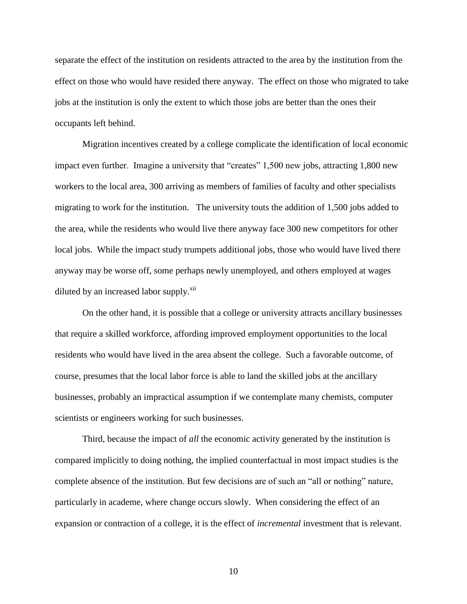separate the effect of the institution on residents attracted to the area by the institution from the effect on those who would have resided there anyway. The effect on those who migrated to take jobs at the institution is only the extent to which those jobs are better than the ones their occupants left behind.

Migration incentives created by a college complicate the identification of local economic impact even further. Imagine a university that "creates" 1,500 new jobs, attracting 1,800 new workers to the local area, 300 arriving as members of families of faculty and other specialists migrating to work for the institution. The university touts the addition of 1,500 jobs added to the area, while the residents who would live there anyway face 300 new competitors for other local jobs. While the impact study trumpets additional jobs, those who would have lived there anyway may be worse off, some perhaps newly unemployed, and others employed at wages diluted by an increased labor supply.<sup>xii</sup>

On the other hand, it is possible that a college or university attracts ancillary businesses that require a skilled workforce, affording improved employment opportunities to the local residents who would have lived in the area absent the college. Such a favorable outcome, of course, presumes that the local labor force is able to land the skilled jobs at the ancillary businesses, probably an impractical assumption if we contemplate many chemists, computer scientists or engineers working for such businesses.

Third, because the impact of *all* the economic activity generated by the institution is compared implicitly to doing nothing, the implied counterfactual in most impact studies is the complete absence of the institution. But few decisions are of such an "all or nothing" nature, particularly in academe, where change occurs slowly. When considering the effect of an expansion or contraction of a college, it is the effect of *incremental* investment that is relevant.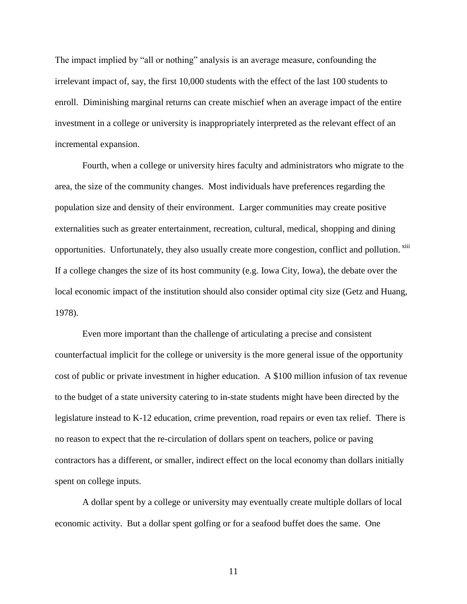The impact implied by "all or nothing" analysis is an average measure, confounding the irrelevant impact of, say, the first 10,000 students with the effect of the last 100 students to enroll. Diminishing marginal returns can create mischief when an average impact of the entire investment in a college or university is inappropriately interpreted as the relevant effect of an incremental expansion.

Fourth, when a college or university hires faculty and administrators who migrate to the area, the size of the community changes. Most individuals have preferences regarding the population size and density of their environment. Larger communities may create positive externalities such as greater entertainment, recreation, cultural, medical, shopping and dining opportunities. Unfortunately, they also usually create more congestion, conflict and pollution. <sup>xiii</sup> If a college changes the size of its host community (e.g. Iowa City, Iowa), the debate over the local economic impact of the institution should also consider optimal city size (Getz and Huang, 1978).

Even more important than the challenge of articulating a precise and consistent counterfactual implicit for the college or university is the more general issue of the opportunity cost of public or private investment in higher education. A \$100 million infusion of tax revenue to the budget of a state university catering to in-state students might have been directed by the legislature instead to K-12 education, crime prevention, road repairs or even tax relief. There is no reason to expect that the re-circulation of dollars spent on teachers, police or paving contractors has a different, or smaller, indirect effect on the local economy than dollars initially spent on college inputs.

A dollar spent by a college or university may eventually create multiple dollars of local economic activity. But a dollar spent golfing or for a seafood buffet does the same. One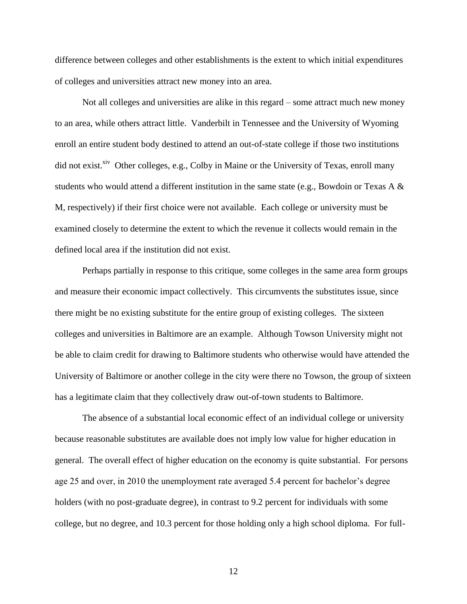difference between colleges and other establishments is the extent to which initial expenditures of colleges and universities attract new money into an area.

Not all colleges and universities are alike in this regard – some attract much new money to an area, while others attract little. Vanderbilt in Tennessee and the University of Wyoming enroll an entire student body destined to attend an out-of-state college if those two institutions did not exist.<sup>xiv</sup> Other colleges, e.g., Colby in Maine or the University of Texas, enroll many students who would attend a different institution in the same state (e.g., Bowdoin or Texas A  $\&$ M, respectively) if their first choice were not available. Each college or university must be examined closely to determine the extent to which the revenue it collects would remain in the defined local area if the institution did not exist.

Perhaps partially in response to this critique, some colleges in the same area form groups and measure their economic impact collectively. This circumvents the substitutes issue, since there might be no existing substitute for the entire group of existing colleges. The sixteen colleges and universities in Baltimore are an example. Although Towson University might not be able to claim credit for drawing to Baltimore students who otherwise would have attended the University of Baltimore or another college in the city were there no Towson, the group of sixteen has a legitimate claim that they collectively draw out-of-town students to Baltimore.

The absence of a substantial local economic effect of an individual college or university because reasonable substitutes are available does not imply low value for higher education in general. The overall effect of higher education on the economy is quite substantial. For persons age 25 and over, in 2010 the unemployment rate averaged 5.4 percent for bachelor's degree holders (with no post-graduate degree), in contrast to 9.2 percent for individuals with some college, but no degree, and 10.3 percent for those holding only a high school diploma. For full-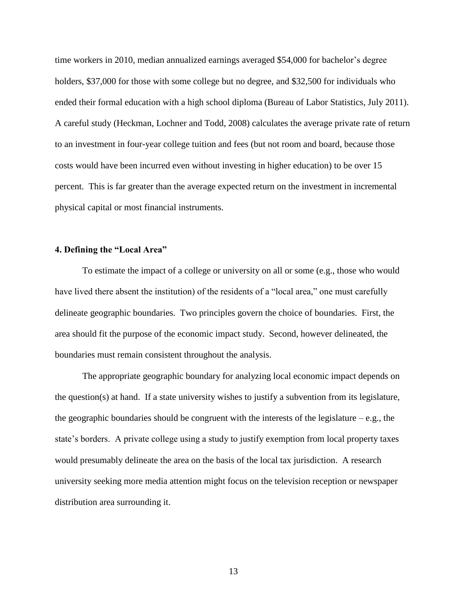time workers in 2010, median annualized earnings averaged \$54,000 for bachelor's degree holders, \$37,000 for those with some college but no degree, and \$32,500 for individuals who ended their formal education with a high school diploma (Bureau of Labor Statistics, July 2011). A careful study (Heckman, Lochner and Todd, 2008) calculates the average private rate of return to an investment in four-year college tuition and fees (but not room and board, because those costs would have been incurred even without investing in higher education) to be over 15 percent. This is far greater than the average expected return on the investment in incremental physical capital or most financial instruments.

## **4. Defining the "Local Area"**

To estimate the impact of a college or university on all or some (e.g., those who would have lived there absent the institution) of the residents of a "local area," one must carefully delineate geographic boundaries. Two principles govern the choice of boundaries. First, the area should fit the purpose of the economic impact study. Second, however delineated, the boundaries must remain consistent throughout the analysis.

The appropriate geographic boundary for analyzing local economic impact depends on the question(s) at hand. If a state university wishes to justify a subvention from its legislature, the geographic boundaries should be congruent with the interests of the legislature – e.g., the state's borders. A private college using a study to justify exemption from local property taxes would presumably delineate the area on the basis of the local tax jurisdiction. A research university seeking more media attention might focus on the television reception or newspaper distribution area surrounding it.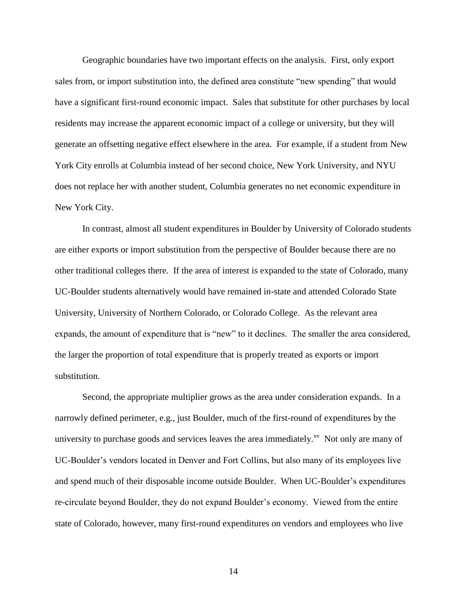Geographic boundaries have two important effects on the analysis. First, only export sales from, or import substitution into, the defined area constitute "new spending" that would have a significant first-round economic impact. Sales that substitute for other purchases by local residents may increase the apparent economic impact of a college or university, but they will generate an offsetting negative effect elsewhere in the area. For example, if a student from New York City enrolls at Columbia instead of her second choice, New York University, and NYU does not replace her with another student, Columbia generates no net economic expenditure in New York City.

In contrast, almost all student expenditures in Boulder by University of Colorado students are either exports or import substitution from the perspective of Boulder because there are no other traditional colleges there. If the area of interest is expanded to the state of Colorado, many UC-Boulder students alternatively would have remained in-state and attended Colorado State University, University of Northern Colorado, or Colorado College. As the relevant area expands, the amount of expenditure that is "new" to it declines. The smaller the area considered, the larger the proportion of total expenditure that is properly treated as exports or import substitution.

Second, the appropriate multiplier grows as the area under consideration expands. In a narrowly defined perimeter, e.g., just Boulder, much of the first-round of expenditures by the university to purchase goods and services leaves the area immediately.<sup> $xy$ </sup> Not only are many of UC-Boulder's vendors located in Denver and Fort Collins, but also many of its employees live and spend much of their disposable income outside Boulder. When UC-Boulder's expenditures re-circulate beyond Boulder, they do not expand Boulder's economy. Viewed from the entire state of Colorado, however, many first-round expenditures on vendors and employees who live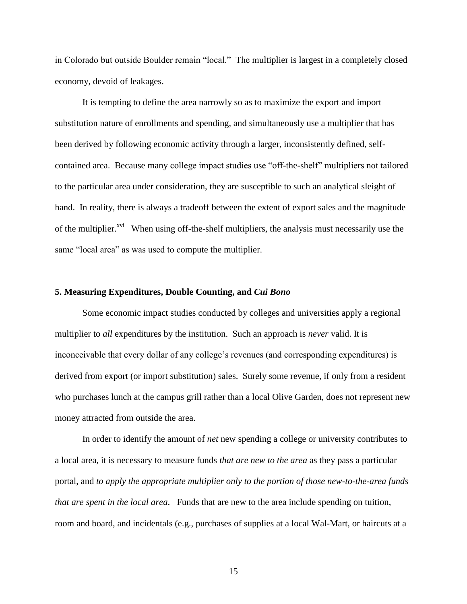in Colorado but outside Boulder remain "local." The multiplier is largest in a completely closed economy, devoid of leakages.

It is tempting to define the area narrowly so as to maximize the export and import substitution nature of enrollments and spending, and simultaneously use a multiplier that has been derived by following economic activity through a larger, inconsistently defined, selfcontained area. Because many college impact studies use "off-the-shelf" multipliers not tailored to the particular area under consideration, they are susceptible to such an analytical sleight of hand. In reality, there is always a tradeoff between the extent of export sales and the magnitude of the multiplier.<sup>xvi</sup> When using off-the-shelf multipliers, the analysis must necessarily use the same "local area" as was used to compute the multiplier.

#### **5. Measuring Expenditures, Double Counting, and** *Cui Bono*

Some economic impact studies conducted by colleges and universities apply a regional multiplier to *all* expenditures by the institution. Such an approach is *never* valid. It is inconceivable that every dollar of any college's revenues (and corresponding expenditures) is derived from export (or import substitution) sales. Surely some revenue, if only from a resident who purchases lunch at the campus grill rather than a local Olive Garden, does not represent new money attracted from outside the area.

In order to identify the amount of *net* new spending a college or university contributes to a local area, it is necessary to measure funds *that are new to the area* as they pass a particular portal, and *to apply the appropriate multiplier only to the portion of those new-to-the-area funds that are spent in the local area*. Funds that are new to the area include spending on tuition, room and board, and incidentals (e.g., purchases of supplies at a local Wal-Mart, or haircuts at a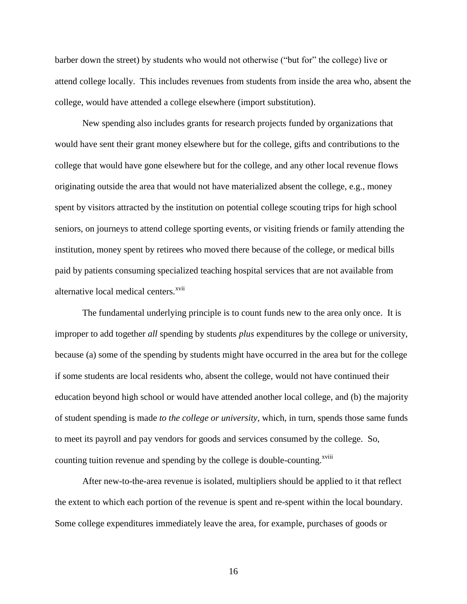barber down the street) by students who would not otherwise ("but for" the college) live or attend college locally. This includes revenues from students from inside the area who, absent the college, would have attended a college elsewhere (import substitution).

New spending also includes grants for research projects funded by organizations that would have sent their grant money elsewhere but for the college, gifts and contributions to the college that would have gone elsewhere but for the college, and any other local revenue flows originating outside the area that would not have materialized absent the college, e.g., money spent by visitors attracted by the institution on potential college scouting trips for high school seniors, on journeys to attend college sporting events, or visiting friends or family attending the institution, money spent by retirees who moved there because of the college, or medical bills paid by patients consuming specialized teaching hospital services that are not available from alternative local medical centers.<sup>xvii</sup>

The fundamental underlying principle is to count funds new to the area only once. It is improper to add together *all* spending by students *plus* expenditures by the college or university, because (a) some of the spending by students might have occurred in the area but for the college if some students are local residents who, absent the college, would not have continued their education beyond high school or would have attended another local college, and (b) the majority of student spending is made *to the college or university,* which, in turn, spends those same funds to meet its payroll and pay vendors for goods and services consumed by the college. So, counting tuition revenue and spending by the college is double-counting.<sup>xviii</sup>

After new-to-the-area revenue is isolated, multipliers should be applied to it that reflect the extent to which each portion of the revenue is spent and re-spent within the local boundary. Some college expenditures immediately leave the area, for example, purchases of goods or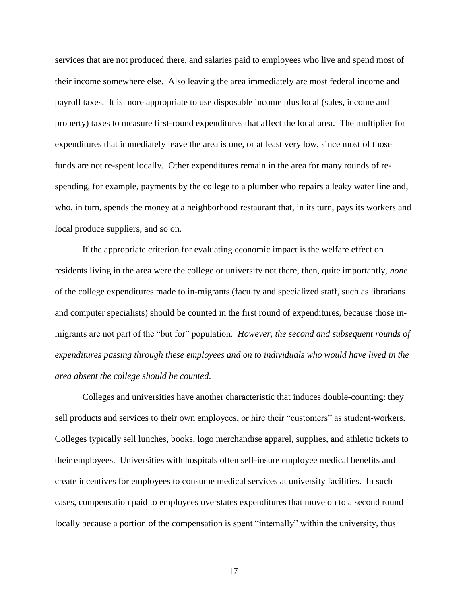services that are not produced there, and salaries paid to employees who live and spend most of their income somewhere else. Also leaving the area immediately are most federal income and payroll taxes. It is more appropriate to use disposable income plus local (sales, income and property) taxes to measure first-round expenditures that affect the local area. The multiplier for expenditures that immediately leave the area is one, or at least very low, since most of those funds are not re-spent locally. Other expenditures remain in the area for many rounds of respending, for example, payments by the college to a plumber who repairs a leaky water line and, who, in turn, spends the money at a neighborhood restaurant that, in its turn, pays its workers and local produce suppliers, and so on.

If the appropriate criterion for evaluating economic impact is the welfare effect on residents living in the area were the college or university not there, then, quite importantly, *none* of the college expenditures made to in-migrants (faculty and specialized staff, such as librarians and computer specialists) should be counted in the first round of expenditures, because those inmigrants are not part of the "but for" population. *However, the second and subsequent rounds of expenditures passing through these employees and on to individuals who would have lived in the area absent the college should be counted*.

Colleges and universities have another characteristic that induces double-counting: they sell products and services to their own employees, or hire their "customers" as student-workers. Colleges typically sell lunches, books, logo merchandise apparel, supplies, and athletic tickets to their employees. Universities with hospitals often self-insure employee medical benefits and create incentives for employees to consume medical services at university facilities. In such cases, compensation paid to employees overstates expenditures that move on to a second round locally because a portion of the compensation is spent "internally" within the university, thus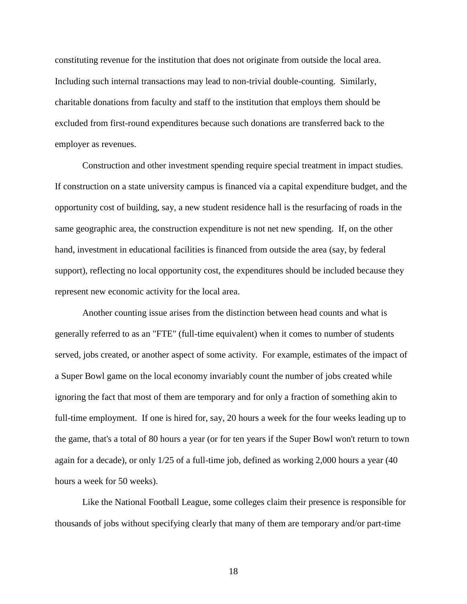constituting revenue for the institution that does not originate from outside the local area. Including such internal transactions may lead to non-trivial double-counting. Similarly, charitable donations from faculty and staff to the institution that employs them should be excluded from first-round expenditures because such donations are transferred back to the employer as revenues.

Construction and other investment spending require special treatment in impact studies. If construction on a state university campus is financed via a capital expenditure budget, and the opportunity cost of building, say, a new student residence hall is the resurfacing of roads in the same geographic area, the construction expenditure is not net new spending. If, on the other hand, investment in educational facilities is financed from outside the area (say, by federal support), reflecting no local opportunity cost, the expenditures should be included because they represent new economic activity for the local area.

Another counting issue arises from the distinction between head counts and what is generally referred to as an "FTE" (full-time equivalent) when it comes to number of students served, jobs created, or another aspect of some activity. For example, estimates of the impact of a Super Bowl game on the local economy invariably count the number of jobs created while ignoring the fact that most of them are temporary and for only a fraction of something akin to full-time employment. If one is hired for, say, 20 hours a week for the four weeks leading up to the game, that's a total of 80 hours a year (or for ten years if the Super Bowl won't return to town again for a decade), or only 1/25 of a full-time job, defined as working 2,000 hours a year (40 hours a week for 50 weeks).

Like the National Football League, some colleges claim their presence is responsible for thousands of jobs without specifying clearly that many of them are temporary and/or part-time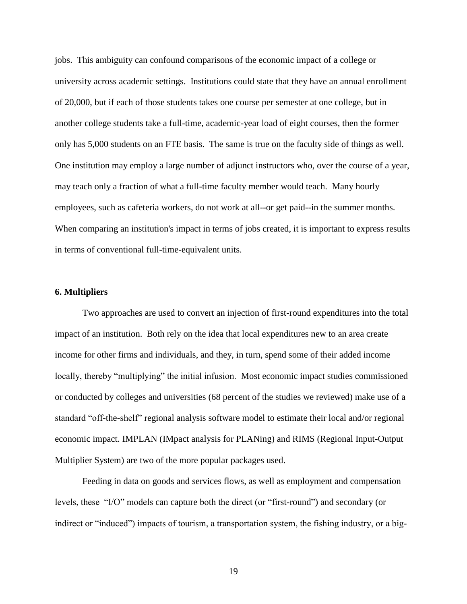jobs. This ambiguity can confound comparisons of the economic impact of a college or university across academic settings. Institutions could state that they have an annual enrollment of 20,000, but if each of those students takes one course per semester at one college, but in another college students take a full-time, academic-year load of eight courses, then the former only has 5,000 students on an FTE basis. The same is true on the faculty side of things as well. One institution may employ a large number of adjunct instructors who, over the course of a year, may teach only a fraction of what a full-time faculty member would teach. Many hourly employees, such as cafeteria workers, do not work at all--or get paid--in the summer months. When comparing an institution's impact in terms of jobs created, it is important to express results in terms of conventional full-time-equivalent units.

## **6. Multipliers**

Two approaches are used to convert an injection of first-round expenditures into the total impact of an institution. Both rely on the idea that local expenditures new to an area create income for other firms and individuals, and they, in turn, spend some of their added income locally, thereby "multiplying" the initial infusion. Most economic impact studies commissioned or conducted by colleges and universities (68 percent of the studies we reviewed) make use of a standard "off-the-shelf" regional analysis software model to estimate their local and/or regional economic impact. IMPLAN (IMpact analysis for PLANing) and RIMS (Regional Input-Output Multiplier System) are two of the more popular packages used.

Feeding in data on goods and services flows, as well as employment and compensation levels, these "I/O" models can capture both the direct (or "first-round") and secondary (or indirect or "induced") impacts of tourism, a transportation system, the fishing industry, or a big-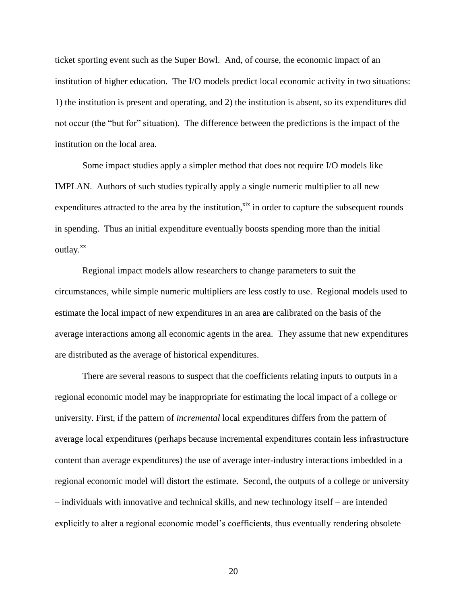ticket sporting event such as the Super Bowl. And, of course, the economic impact of an institution of higher education. The I/O models predict local economic activity in two situations: 1) the institution is present and operating, and 2) the institution is absent, so its expenditures did not occur (the "but for" situation). The difference between the predictions is the impact of the institution on the local area.

Some impact studies apply a simpler method that does not require I/O models like IMPLAN. Authors of such studies typically apply a single numeric multiplier to all new expenditures attracted to the area by the institution,  $x$ <sup>ix</sup> in order to capture the subsequent rounds in spending. Thus an initial expenditure eventually boosts spending more than the initial outlay.<sup>xx</sup>

Regional impact models allow researchers to change parameters to suit the circumstances, while simple numeric multipliers are less costly to use. Regional models used to estimate the local impact of new expenditures in an area are calibrated on the basis of the average interactions among all economic agents in the area. They assume that new expenditures are distributed as the average of historical expenditures.

There are several reasons to suspect that the coefficients relating inputs to outputs in a regional economic model may be inappropriate for estimating the local impact of a college or university. First, if the pattern of *incremental* local expenditures differs from the pattern of average local expenditures (perhaps because incremental expenditures contain less infrastructure content than average expenditures) the use of average inter-industry interactions imbedded in a regional economic model will distort the estimate. Second, the outputs of a college or university – individuals with innovative and technical skills, and new technology itself – are intended explicitly to alter a regional economic model's coefficients, thus eventually rendering obsolete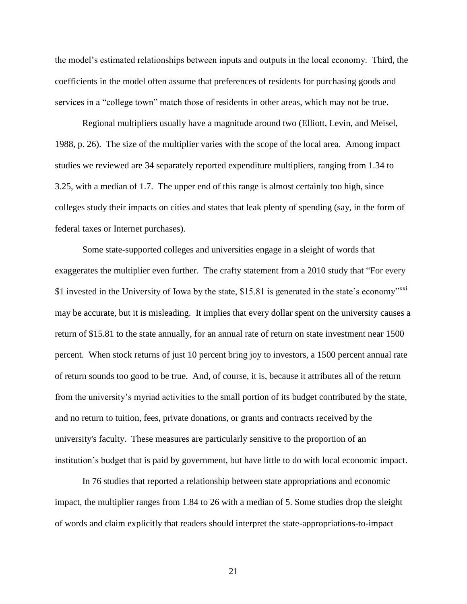the model's estimated relationships between inputs and outputs in the local economy. Third, the coefficients in the model often assume that preferences of residents for purchasing goods and services in a "college town" match those of residents in other areas, which may not be true.

Regional multipliers usually have a magnitude around two (Elliott, Levin, and Meisel, 1988, p. 26). The size of the multiplier varies with the scope of the local area. Among impact studies we reviewed are 34 separately reported expenditure multipliers, ranging from 1.34 to 3.25, with a median of 1.7. The upper end of this range is almost certainly too high, since colleges study their impacts on cities and states that leak plenty of spending (say, in the form of federal taxes or Internet purchases).

Some state-supported colleges and universities engage in a sleight of words that exaggerates the multiplier even further. The crafty statement from a 2010 study that "For every \$1 invested in the University of Iowa by the state, \$15.81 is generated in the state's economy<sup>"xxi</sup> may be accurate, but it is misleading. It implies that every dollar spent on the university causes a return of \$15.81 to the state annually, for an annual rate of return on state investment near 1500 percent. When stock returns of just 10 percent bring joy to investors, a 1500 percent annual rate of return sounds too good to be true. And, of course, it is, because it attributes all of the return from the university's myriad activities to the small portion of its budget contributed by the state, and no return to tuition, fees, private donations, or grants and contracts received by the university's faculty. These measures are particularly sensitive to the proportion of an institution's budget that is paid by government, but have little to do with local economic impact.

In 76 studies that reported a relationship between state appropriations and economic impact, the multiplier ranges from 1.84 to 26 with a median of 5. Some studies drop the sleight of words and claim explicitly that readers should interpret the state-appropriations-to-impact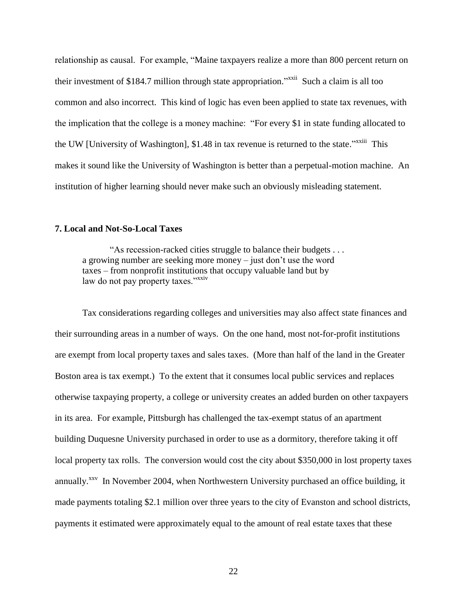relationship as causal. For example, "Maine taxpayers realize a more than 800 percent return on their investment of \$184.7 million through state appropriation."<sup>xxii</sup> Such a claim is all too common and also incorrect. This kind of logic has even been applied to state tax revenues, with the implication that the college is a money machine: "For every \$1 in state funding allocated to the UW [University of Washington], \$1.48 in tax revenue is returned to the state."<sup>xxiii</sup> This makes it sound like the University of Washington is better than a perpetual-motion machine. An institution of higher learning should never make such an obviously misleading statement.

#### **7. Local and Not-So-Local Taxes**

―As recession-racked cities struggle to balance their budgets . . . a growing number are seeking more money – just don't use the word taxes – from nonprofit institutions that occupy valuable land but by law do not pay property taxes."<sup>xxiv</sup>

Tax considerations regarding colleges and universities may also affect state finances and their surrounding areas in a number of ways. On the one hand, most not-for-profit institutions are exempt from local property taxes and sales taxes. (More than half of the land in the Greater Boston area is tax exempt.) To the extent that it consumes local public services and replaces otherwise taxpaying property, a college or university creates an added burden on other taxpayers in its area. For example, Pittsburgh has challenged the tax-exempt status of an apartment building Duquesne University purchased in order to use as a dormitory, therefore taking it off local property tax rolls. The conversion would cost the city about \$350,000 in lost property taxes annually.<sup>xxv</sup> In November 2004, when Northwestern University purchased an office building, it made payments totaling \$2.1 million over three years to the city of Evanston and school districts, payments it estimated were approximately equal to the amount of real estate taxes that these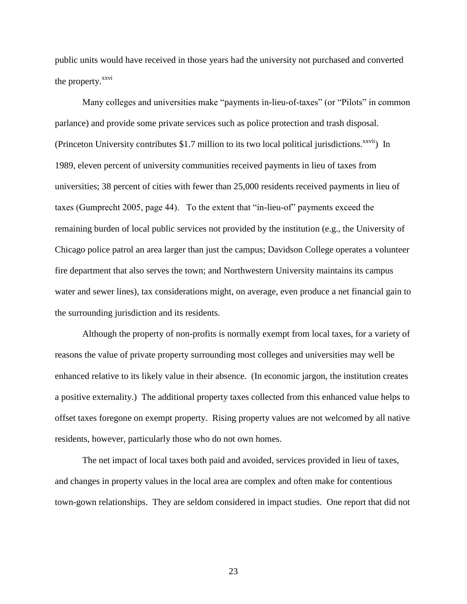public units would have received in those years had the university not purchased and converted the property.<sup>xxvi</sup>

Many colleges and universities make "payments in-lieu-of-taxes" (or "Pilots" in common parlance) and provide some private services such as police protection and trash disposal. (Princeton University contributes  $$1.7$  million to its two local political jurisdictions.<sup>xxvii</sup>) In 1989, eleven percent of university communities received payments in lieu of taxes from universities; 38 percent of cities with fewer than 25,000 residents received payments in lieu of taxes (Gumprecht 2005, page 44). To the extent that "in-lieu-of" payments exceed the remaining burden of local public services not provided by the institution (e.g., the University of Chicago police patrol an area larger than just the campus; Davidson College operates a volunteer fire department that also serves the town; and Northwestern University maintains its campus water and sewer lines), tax considerations might, on average, even produce a net financial gain to the surrounding jurisdiction and its residents.

Although the property of non-profits is normally exempt from local taxes, for a variety of reasons the value of private property surrounding most colleges and universities may well be enhanced relative to its likely value in their absence. (In economic jargon, the institution creates a positive externality.) The additional property taxes collected from this enhanced value helps to offset taxes foregone on exempt property. Rising property values are not welcomed by all native residents, however, particularly those who do not own homes.

The net impact of local taxes both paid and avoided, services provided in lieu of taxes, and changes in property values in the local area are complex and often make for contentious town-gown relationships. They are seldom considered in impact studies. One report that did not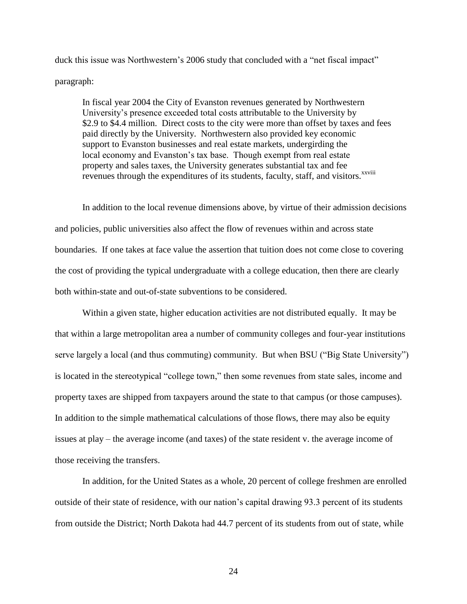duck this issue was Northwestern's 2006 study that concluded with a "net fiscal impact" paragraph:

In fiscal year 2004 the City of Evanston revenues generated by Northwestern University's presence exceeded total costs attributable to the University by \$2.9 to \$4.4 million. Direct costs to the city were more than offset by taxes and fees paid directly by the University. Northwestern also provided key economic support to Evanston businesses and real estate markets, undergirding the local economy and Evanston's tax base. Though exempt from real estate property and sales taxes, the University generates substantial tax and fee revenues through the expenditures of its students, faculty, staff, and visitors.<sup>xxviii</sup>

In addition to the local revenue dimensions above, by virtue of their admission decisions and policies, public universities also affect the flow of revenues within and across state boundaries. If one takes at face value the assertion that tuition does not come close to covering the cost of providing the typical undergraduate with a college education, then there are clearly both within-state and out-of-state subventions to be considered.

Within a given state, higher education activities are not distributed equally. It may be that within a large metropolitan area a number of community colleges and four-year institutions serve largely a local (and thus commuting) community. But when BSU ("Big State University") is located in the stereotypical "college town," then some revenues from state sales, income and property taxes are shipped from taxpayers around the state to that campus (or those campuses). In addition to the simple mathematical calculations of those flows, there may also be equity issues at play – the average income (and taxes) of the state resident v. the average income of those receiving the transfers.

In addition, for the United States as a whole, 20 percent of college freshmen are enrolled outside of their state of residence, with our nation's capital drawing 93.3 percent of its students from outside the District; North Dakota had 44.7 percent of its students from out of state, while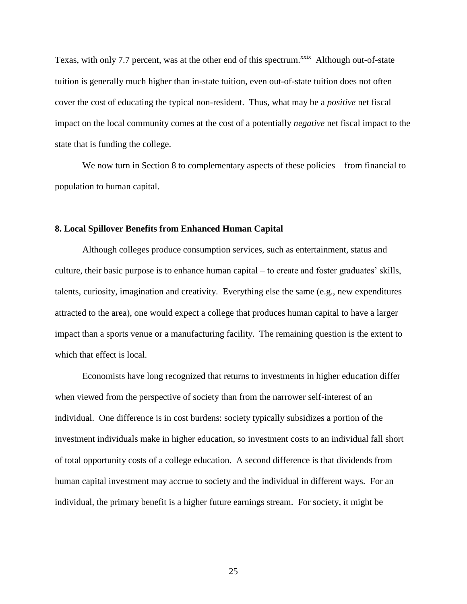Texas, with only 7.7 percent, was at the other end of this spectrum.<sup>xxix</sup> Although out-of-state tuition is generally much higher than in-state tuition, even out-of-state tuition does not often cover the cost of educating the typical non-resident. Thus, what may be a *positive* net fiscal impact on the local community comes at the cost of a potentially *negative* net fiscal impact to the state that is funding the college.

We now turn in Section 8 to complementary aspects of these policies – from financial to population to human capital.

#### **8. Local Spillover Benefits from Enhanced Human Capital**

Although colleges produce consumption services, such as entertainment, status and culture, their basic purpose is to enhance human capital – to create and foster graduates' skills, talents, curiosity, imagination and creativity. Everything else the same (e.g., new expenditures attracted to the area), one would expect a college that produces human capital to have a larger impact than a sports venue or a manufacturing facility. The remaining question is the extent to which that effect is local.

Economists have long recognized that returns to investments in higher education differ when viewed from the perspective of society than from the narrower self-interest of an individual. One difference is in cost burdens: society typically subsidizes a portion of the investment individuals make in higher education, so investment costs to an individual fall short of total opportunity costs of a college education. A second difference is that dividends from human capital investment may accrue to society and the individual in different ways. For an individual, the primary benefit is a higher future earnings stream. For society, it might be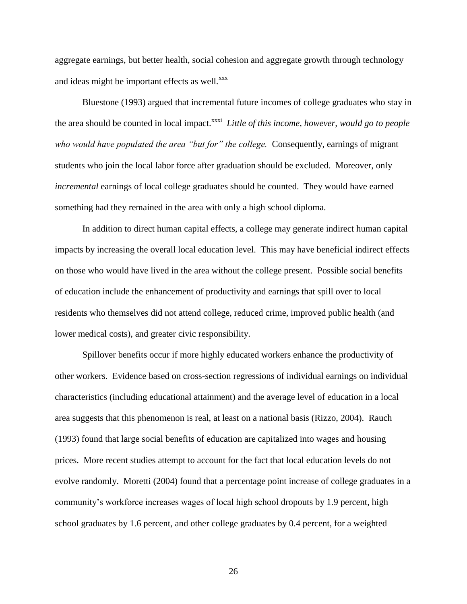aggregate earnings, but better health, social cohesion and aggregate growth through technology and ideas might be important effects as well.<sup>xxx</sup>

Bluestone (1993) argued that incremental future incomes of college graduates who stay in the area should be counted in local impact.<sup>xxxi</sup> Little of this income, however, would go to people *who would have populated the area "but for" the college.* Consequently, earnings of migrant students who join the local labor force after graduation should be excluded. Moreover, only *incremental* earnings of local college graduates should be counted. They would have earned something had they remained in the area with only a high school diploma.

In addition to direct human capital effects, a college may generate indirect human capital impacts by increasing the overall local education level. This may have beneficial indirect effects on those who would have lived in the area without the college present. Possible social benefits of education include the enhancement of productivity and earnings that spill over to local residents who themselves did not attend college, reduced crime, improved public health (and lower medical costs), and greater civic responsibility.

Spillover benefits occur if more highly educated workers enhance the productivity of other workers. Evidence based on cross-section regressions of individual earnings on individual characteristics (including educational attainment) and the average level of education in a local area suggests that this phenomenon is real, at least on a national basis (Rizzo, 2004). Rauch (1993) found that large social benefits of education are capitalized into wages and housing prices. More recent studies attempt to account for the fact that local education levels do not evolve randomly. Moretti (2004) found that a percentage point increase of college graduates in a community's workforce increases wages of local high school dropouts by 1.9 percent, high school graduates by 1.6 percent, and other college graduates by 0.4 percent, for a weighted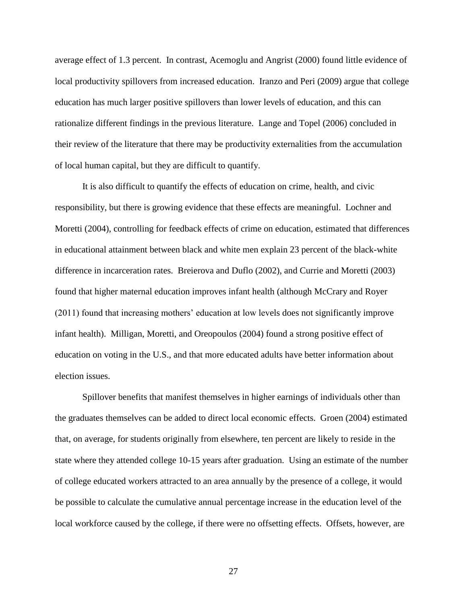average effect of 1.3 percent. In contrast, Acemoglu and Angrist (2000) found little evidence of local productivity spillovers from increased education. Iranzo and Peri (2009) argue that college education has much larger positive spillovers than lower levels of education, and this can rationalize different findings in the previous literature. Lange and Topel (2006) concluded in their review of the literature that there may be productivity externalities from the accumulation of local human capital, but they are difficult to quantify.

It is also difficult to quantify the effects of education on crime, health, and civic responsibility, but there is growing evidence that these effects are meaningful. Lochner and Moretti (2004), controlling for feedback effects of crime on education, estimated that differences in educational attainment between black and white men explain 23 percent of the black-white difference in incarceration rates. Breierova and Duflo (2002), and Currie and Moretti (2003) found that higher maternal education improves infant health (although McCrary and Royer (2011) found that increasing mothers' education at low levels does not significantly improve infant health). Milligan, Moretti, and Oreopoulos (2004) found a strong positive effect of education on voting in the U.S., and that more educated adults have better information about election issues.

Spillover benefits that manifest themselves in higher earnings of individuals other than the graduates themselves can be added to direct local economic effects. Groen (2004) estimated that, on average, for students originally from elsewhere, ten percent are likely to reside in the state where they attended college 10-15 years after graduation. Using an estimate of the number of college educated workers attracted to an area annually by the presence of a college, it would be possible to calculate the cumulative annual percentage increase in the education level of the local workforce caused by the college, if there were no offsetting effects. Offsets, however, are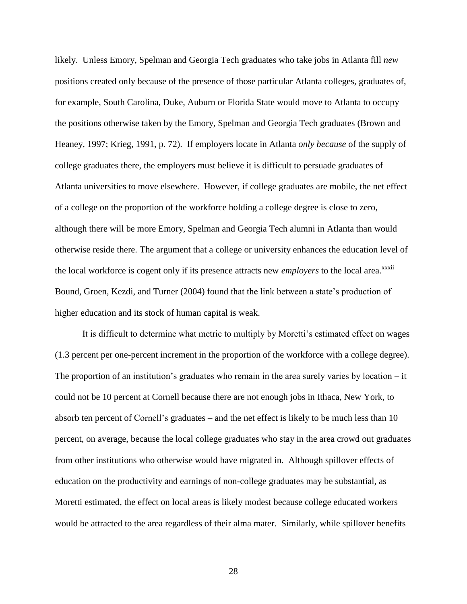likely. Unless Emory, Spelman and Georgia Tech graduates who take jobs in Atlanta fill *new* positions created only because of the presence of those particular Atlanta colleges, graduates of, for example, South Carolina, Duke, Auburn or Florida State would move to Atlanta to occupy the positions otherwise taken by the Emory, Spelman and Georgia Tech graduates (Brown and Heaney, 1997; Krieg, 1991, p. 72). If employers locate in Atlanta *only because* of the supply of college graduates there, the employers must believe it is difficult to persuade graduates of Atlanta universities to move elsewhere. However, if college graduates are mobile, the net effect of a college on the proportion of the workforce holding a college degree is close to zero, although there will be more Emory, Spelman and Georgia Tech alumni in Atlanta than would otherwise reside there. The argument that a college or university enhances the education level of the local workforce is cogent only if its presence attracts new *employers* to the local area.<sup>xxxii</sup> Bound, Groen, Kezdi, and Turner (2004) found that the link between a state's production of higher education and its stock of human capital is weak.

It is difficult to determine what metric to multiply by Moretti's estimated effect on wages (1.3 percent per one-percent increment in the proportion of the workforce with a college degree). The proportion of an institution's graduates who remain in the area surely varies by location  $-$  it could not be 10 percent at Cornell because there are not enough jobs in Ithaca, New York, to absorb ten percent of Cornell's graduates – and the net effect is likely to be much less than 10 percent, on average, because the local college graduates who stay in the area crowd out graduates from other institutions who otherwise would have migrated in. Although spillover effects of education on the productivity and earnings of non-college graduates may be substantial, as Moretti estimated, the effect on local areas is likely modest because college educated workers would be attracted to the area regardless of their alma mater. Similarly, while spillover benefits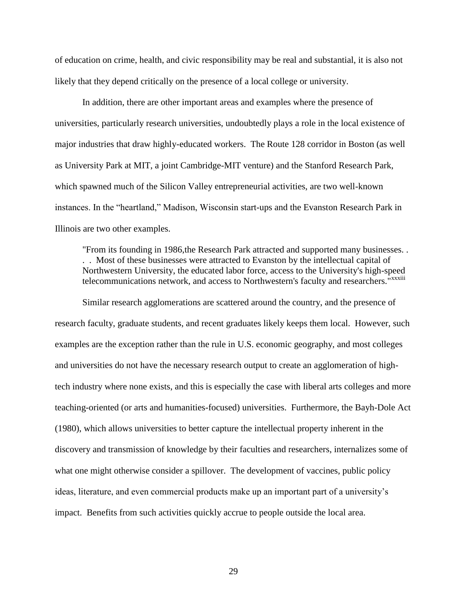of education on crime, health, and civic responsibility may be real and substantial, it is also not likely that they depend critically on the presence of a local college or university.

In addition, there are other important areas and examples where the presence of universities, particularly research universities, undoubtedly plays a role in the local existence of major industries that draw highly-educated workers. The Route 128 corridor in Boston (as well as University Park at MIT, a joint Cambridge-MIT venture) and the Stanford Research Park, which spawned much of the Silicon Valley entrepreneurial activities, are two well-known instances. In the "heartland," Madison, Wisconsin start-ups and the Evanston Research Park in Illinois are two other examples.

"From its founding in 1986,the Research Park attracted and supported many businesses. . . . Most of these businesses were attracted to Evanston by the intellectual capital of Northwestern University, the educated labor force, access to the University's high-speed telecommunications network, and access to Northwestern's faculty and researchers."<sup>xxxiii</sup>

Similar research agglomerations are scattered around the country, and the presence of research faculty, graduate students, and recent graduates likely keeps them local. However, such examples are the exception rather than the rule in U.S. economic geography, and most colleges and universities do not have the necessary research output to create an agglomeration of hightech industry where none exists, and this is especially the case with liberal arts colleges and more teaching-oriented (or arts and humanities-focused) universities. Furthermore, the Bayh-Dole Act (1980), which allows universities to better capture the intellectual property inherent in the discovery and transmission of knowledge by their faculties and researchers, internalizes some of what one might otherwise consider a spillover. The development of vaccines, public policy ideas, literature, and even commercial products make up an important part of a university's impact. Benefits from such activities quickly accrue to people outside the local area.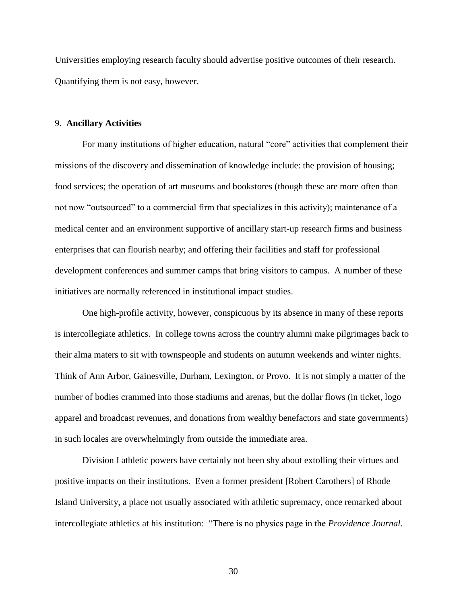Universities employing research faculty should advertise positive outcomes of their research. Quantifying them is not easy, however.

#### 9. **Ancillary Activities**

For many institutions of higher education, natural "core" activities that complement their missions of the discovery and dissemination of knowledge include: the provision of housing; food services; the operation of art museums and bookstores (though these are more often than not now "outsourced" to a commercial firm that specializes in this activity); maintenance of a medical center and an environment supportive of ancillary start-up research firms and business enterprises that can flourish nearby; and offering their facilities and staff for professional development conferences and summer camps that bring visitors to campus. A number of these initiatives are normally referenced in institutional impact studies.

One high-profile activity, however, conspicuous by its absence in many of these reports is intercollegiate athletics. In college towns across the country alumni make pilgrimages back to their alma maters to sit with townspeople and students on autumn weekends and winter nights. Think of Ann Arbor, Gainesville, Durham, Lexington, or Provo. It is not simply a matter of the number of bodies crammed into those stadiums and arenas, but the dollar flows (in ticket, logo apparel and broadcast revenues, and donations from wealthy benefactors and state governments) in such locales are overwhelmingly from outside the immediate area.

Division I athletic powers have certainly not been shy about extolling their virtues and positive impacts on their institutions. Even a former president [Robert Carothers] of Rhode Island University, a place not usually associated with athletic supremacy, once remarked about intercollegiate athletics at his institution: "There is no physics page in the *Providence Journal*.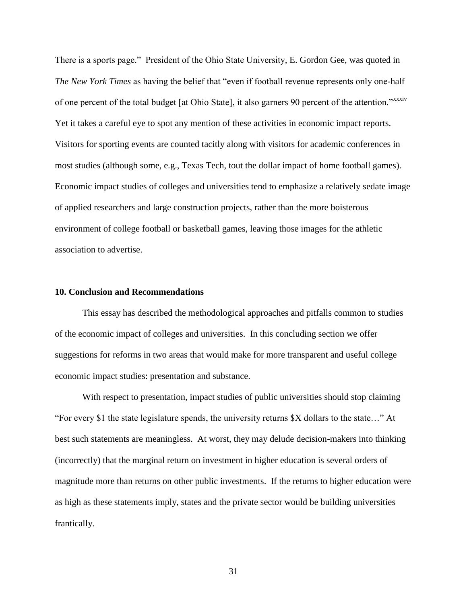There is a sports page." President of the Ohio State University, E. Gordon Gee, was quoted in *The New York Times* as having the belief that "even if football revenue represents only one-half of one percent of the total budget [at Ohio State], it also garners 90 percent of the attention.<sup>"xxxiv</sup> Yet it takes a careful eye to spot any mention of these activities in economic impact reports. Visitors for sporting events are counted tacitly along with visitors for academic conferences in most studies (although some, e.g., Texas Tech, tout the dollar impact of home football games). Economic impact studies of colleges and universities tend to emphasize a relatively sedate image of applied researchers and large construction projects, rather than the more boisterous environment of college football or basketball games, leaving those images for the athletic association to advertise.

#### **10. Conclusion and Recommendations**

This essay has described the methodological approaches and pitfalls common to studies of the economic impact of colleges and universities. In this concluding section we offer suggestions for reforms in two areas that would make for more transparent and useful college economic impact studies: presentation and substance.

With respect to presentation, impact studies of public universities should stop claiming "For every \$1 the state legislature spends, the university returns  $X$  dollars to the state..." At best such statements are meaningless. At worst, they may delude decision-makers into thinking (incorrectly) that the marginal return on investment in higher education is several orders of magnitude more than returns on other public investments. If the returns to higher education were as high as these statements imply, states and the private sector would be building universities frantically.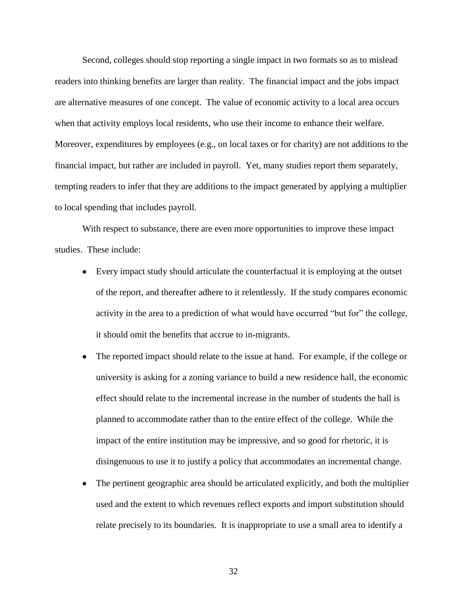Second, colleges should stop reporting a single impact in two formats so as to mislead readers into thinking benefits are larger than reality. The financial impact and the jobs impact are alternative measures of one concept. The value of economic activity to a local area occurs when that activity employs local residents, who use their income to enhance their welfare. Moreover, expenditures by employees (e.g., on local taxes or for charity) are not additions to the financial impact, but rather are included in payroll. Yet, many studies report them separately, tempting readers to infer that they are additions to the impact generated by applying a multiplier to local spending that includes payroll.

With respect to substance, there are even more opportunities to improve these impact studies. These include:

- Every impact study should articulate the counterfactual it is employing at the outset of the report, and thereafter adhere to it relentlessly. If the study compares economic activity in the area to a prediction of what would have occurred "but for" the college, it should omit the benefits that accrue to in-migrants.
- The reported impact should relate to the issue at hand. For example, if the college or university is asking for a zoning variance to build a new residence hall, the economic effect should relate to the incremental increase in the number of students the hall is planned to accommodate rather than to the entire effect of the college. While the impact of the entire institution may be impressive, and so good for rhetoric, it is disingenuous to use it to justify a policy that accommodates an incremental change.
- The pertinent geographic area should be articulated explicitly, and both the multiplier  $\bullet$ used and the extent to which revenues reflect exports and import substitution should relate precisely to its boundaries. It is inappropriate to use a small area to identify a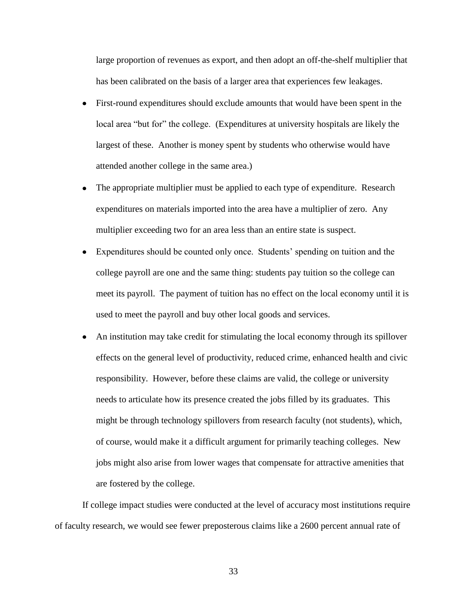large proportion of revenues as export, and then adopt an off-the-shelf multiplier that has been calibrated on the basis of a larger area that experiences few leakages.

- First-round expenditures should exclude amounts that would have been spent in the local area "but for" the college. (Expenditures at university hospitals are likely the largest of these. Another is money spent by students who otherwise would have attended another college in the same area.)
- $\bullet$ The appropriate multiplier must be applied to each type of expenditure. Research expenditures on materials imported into the area have a multiplier of zero. Any multiplier exceeding two for an area less than an entire state is suspect.
- Expenditures should be counted only once. Students' spending on tuition and the college payroll are one and the same thing: students pay tuition so the college can meet its payroll. The payment of tuition has no effect on the local economy until it is used to meet the payroll and buy other local goods and services.
- An institution may take credit for stimulating the local economy through its spillover  $\bullet$ effects on the general level of productivity, reduced crime, enhanced health and civic responsibility. However, before these claims are valid, the college or university needs to articulate how its presence created the jobs filled by its graduates. This might be through technology spillovers from research faculty (not students), which, of course, would make it a difficult argument for primarily teaching colleges. New jobs might also arise from lower wages that compensate for attractive amenities that are fostered by the college.

If college impact studies were conducted at the level of accuracy most institutions require of faculty research, we would see fewer preposterous claims like a 2600 percent annual rate of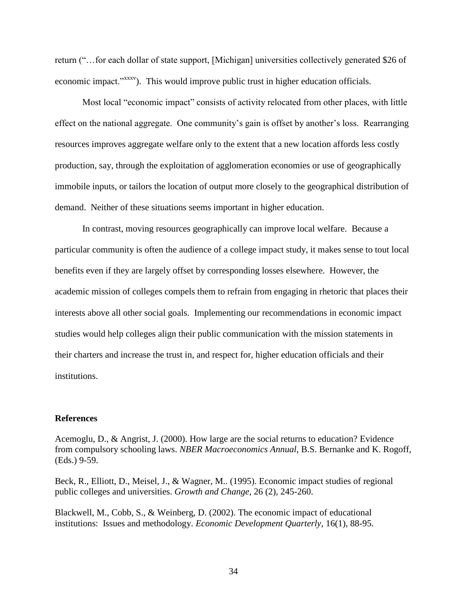return ("... for each dollar of state support, [Michigan] universities collectively generated \$26 of economic impact.<sup>2xxxv</sup>). This would improve public trust in higher education officials.

Most local "economic impact" consists of activity relocated from other places, with little effect on the national aggregate. One community's gain is offset by another's loss. Rearranging resources improves aggregate welfare only to the extent that a new location affords less costly production, say, through the exploitation of agglomeration economies or use of geographically immobile inputs, or tailors the location of output more closely to the geographical distribution of demand. Neither of these situations seems important in higher education.

In contrast, moving resources geographically can improve local welfare. Because a particular community is often the audience of a college impact study, it makes sense to tout local benefits even if they are largely offset by corresponding losses elsewhere. However, the academic mission of colleges compels them to refrain from engaging in rhetoric that places their interests above all other social goals. Implementing our recommendations in economic impact studies would help colleges align their public communication with the mission statements in their charters and increase the trust in, and respect for, higher education officials and their institutions.

## **References**

Acemoglu, D., & Angrist, J. (2000). How large are the social returns to education? Evidence from compulsory schooling laws. *NBER Macroeconomics Annual*, B.S. Bernanke and K. Rogoff, (Eds.) 9-59.

Beck, R., Elliott, D., Meisel, J., & Wagner, M.. (1995). Economic impact studies of regional public colleges and universities. *Growth and Change*, 26 (2), 245-260.

Blackwell, M., Cobb, S., & Weinberg, D. (2002). The economic impact of educational institutions: Issues and methodology. *Economic Development Quarterly*, 16(1), 88-95.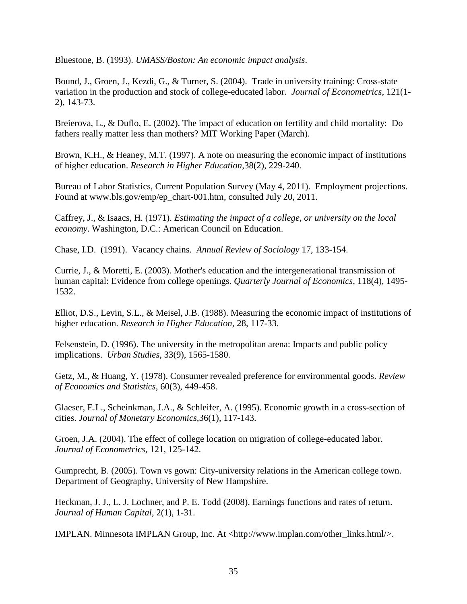Bluestone, B. (1993). *UMASS/Boston: An economic impact analysis*.

Bound, J., Groen, J., Kezdi, G., & Turner, S. (2004). Trade in university training: Cross-state variation in the production and stock of college-educated labor. *Journal of Econometrics*, 121(1- 2), 143-73.

Breierova, L., & Duflo, E. (2002). The impact of education on fertility and child mortality: Do fathers really matter less than mothers? MIT Working Paper (March).

Brown, K.H., & Heaney, M.T. (1997). A note on measuring the economic impact of institutions of higher education. *Research in Higher Education*,38(2), 229-240.

Bureau of Labor Statistics, Current Population Survey (May 4, 2011). Employment projections. Found at www.bls.gov/emp/ep\_chart-001.htm, consulted July 20, 2011.

Caffrey, J., & Isaacs, H. (1971). *Estimating the impact of a college, or university on the local economy*. Washington, D.C.: American Council on Education.

Chase, I.D. (1991). Vacancy chains. *Annual Review of Sociology* 17, 133-154.

Currie, J., & Moretti, E. (2003). Mother's education and the intergenerational transmission of human capital: Evidence from college openings. *Quarterly Journal of Economics*, 118(4), 1495- 1532.

Elliot, D.S., Levin, S.L., & Meisel, J.B. (1988). Measuring the economic impact of institutions of higher education. *Research in Higher Education*, 28, 117-33.

Felsenstein, D. (1996). The university in the metropolitan arena: Impacts and public policy implications. *Urban Studies*, 33(9), 1565-1580.

Getz, M., & Huang, Y. (1978). Consumer revealed preference for environmental goods. *Review of Economics and Statistics*, 60(3), 449-458.

Glaeser, E.L., Scheinkman, J.A., & Schleifer, A. (1995). Economic growth in a cross-section of cities. *Journal of Monetary Economics*,36(1), 117-143.

Groen, J.A. (2004). The effect of college location on migration of college-educated labor. *Journal of Econometrics*, 121, 125-142.

Gumprecht, B. (2005). Town vs gown: City-university relations in the American college town. Department of Geography, University of New Hampshire.

Heckman, J. J., L. J. Lochner, and P. E. Todd (2008). Earnings functions and rates of return. *Journal of Human Capital*, 2(1), 1-31.

IMPLAN. Minnesota IMPLAN Group, Inc. At <http://www.implan.com/other\_links.html/>.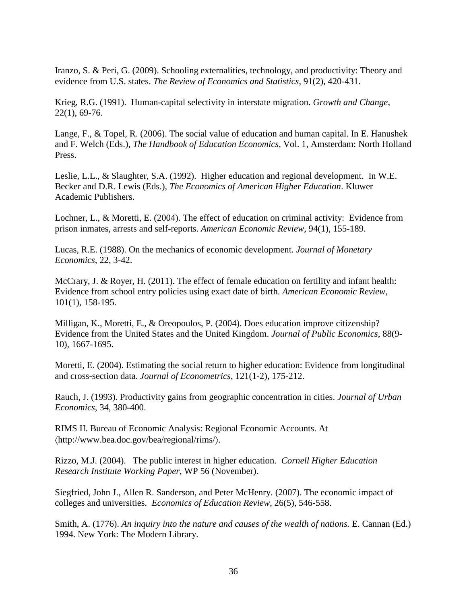Iranzo, S. & Peri, G. (2009). Schooling externalities, technology, and productivity: Theory and evidence from U.S. states. *The Review of Economics and Statistics*, 91(2), 420-431.

Krieg, R.G. (1991). Human-capital selectivity in interstate migration. *Growth and Change*, 22(1), 69-76.

Lange, F., & Topel, R. (2006). The social value of education and human capital. In E. Hanushek and F. Welch (Eds.), *The Handbook of Education Economics*, Vol. 1, Amsterdam: North Holland Press.

Leslie, L.L., & Slaughter, S.A. (1992). Higher education and regional development. In W.E. Becker and D.R. Lewis (Eds.), *The Economics of American Higher Education*. Kluwer Academic Publishers.

Lochner, L., & Moretti, E. (2004). The effect of education on criminal activity: Evidence from prison inmates, arrests and self-reports. *American Economic Review*, 94(1), 155-189.

Lucas, R.E. (1988). On the mechanics of economic development. *Journal of Monetary Economics*, 22, 3-42.

McCrary, J. & Royer, H. (2011). The effect of female education on fertility and infant health: Evidence from school entry policies using exact date of birth. *American Economic Review*, 101(1), 158-195.

Milligan, K., Moretti, E., & Oreopoulos, P. (2004). Does education improve citizenship? Evidence from the United States and the United Kingdom. *Journal of Public Economics*, 88(9- 10), 1667-1695.

Moretti, E. (2004). Estimating the social return to higher education: Evidence from longitudinal and cross-section data. *Journal of Econometrics*, 121(1-2), 175-212.

Rauch, J. (1993). Productivity gains from geographic concentration in cities. *Journal of Urban Economics*, 34, 380-400.

RIMS II. Bureau of Economic Analysis: Regional Economic Accounts. At http://www.bea.doc.gov/bea/regional/rims/ .

Rizzo, M.J. (2004). The public interest in higher education. *Cornell Higher Education Research Institute Working Paper*, WP 56 (November).

Siegfried, John J., Allen R. Sanderson, and Peter McHenry. (2007). The economic impact of colleges and universities. *Economics of Education Review*, 26(5), 546-558.

Smith, A. (1776). *An inquiry into the nature and causes of the wealth of nations.* E. Cannan (Ed.) 1994. New York: The Modern Library.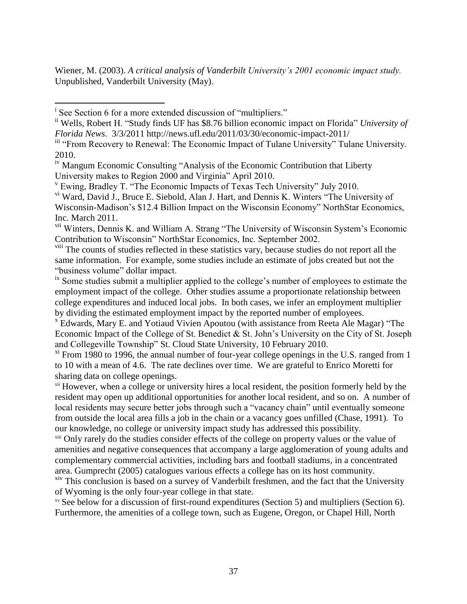Wiener, M. (2003). *A critical analysis of Vanderbilt University's 2001 economic impact study.* Unpublished, Vanderbilt University (May).

 $\overline{a}$ 

<sup>ii</sup> Wells, Robert H. "Study finds UF has \$8.76 billion economic impact on Florida" *University of Florida News*. 3/3/2011 http://news.ufl.edu/2011/03/30/economic-impact-2011/

- iii "From Recovery to Renewal: The Economic Impact of Tulane University" Tulane University. 2010.
- <sup>iv</sup> Mangum Economic Consulting "Analysis of the Economic Contribution that Liberty University makes to Region 2000 and Virginia" April 2010.

<sup>v</sup> Ewing, Bradley T. "The Economic Impacts of Texas Tech University" July 2010.

<sup>vii</sup> Winters, Dennis K. and William A. Strang "The University of Wisconsin System's Economic Contribution to Wisconsin" NorthStar Economics, Inc. September 2002.

viii The counts of studies reflected in these statistics vary, because studies do not report all the same information. For example, some studies include an estimate of jobs created but not the "business volume" dollar impact.

 $\mu$ <sup>ix</sup> Some studies submit a multiplier applied to the college's number of employees to estimate the employment impact of the college. Other studies assume a proportionate relationship between college expenditures and induced local jobs. In both cases, we infer an employment multiplier by dividing the estimated employment impact by the reported number of employees.

<sup>x</sup> Edwards, Mary E. and Yotiaud Vivien Apoutou (with assistance from Reeta Ale Magar) "The Economic Impact of the College of St. Benedict & St. John's University on the City of St. Joseph and Collegeville Township" St. Cloud State University, 10 February 2010.

<sup>xi</sup> From 1980 to 1996, the annual number of four-year college openings in the U.S. ranged from 1 to 10 with a mean of 4.6. The rate declines over time. We are grateful to Enrico Moretti for sharing data on college openings.

<sup>xii</sup> However, when a college or university hires a local resident, the position formerly held by the resident may open up additional opportunities for another local resident, and so on. A number of local residents may secure better jobs through such a "vacancy chain" until eventually someone from outside the local area fills a job in the chain or a vacancy goes unfilled (Chase, 1991). To our knowledge, no college or university impact study has addressed this possibility.

<sup>xiii</sup> Only rarely do the studies consider effects of the college on property values or the value of amenities and negative consequences that accompany a large agglomeration of young adults and complementary commercial activities, including bars and football stadiums, in a concentrated area. Gumprecht (2005) catalogues various effects a college has on its host community.

xiv This conclusion is based on a survey of Vanderbilt freshmen, and the fact that the University of Wyoming is the only four-year college in that state.

xv See below for a discussion of first-round expenditures (Section 5) and multipliers (Section 6). Furthermore, the amenities of a college town, such as Eugene, Oregon, or Chapel Hill, North

<sup>&</sup>lt;sup>i</sup> See Section 6 for a more extended discussion of "multipliers."

vi Ward, David J., Bruce E. Siebold, Alan J. Hart, and Dennis K. Winters "The University of Wisconsin-Madison's \$12.4 Billion Impact on the Wisconsin Economy" NorthStar Economics, Inc. March 2011.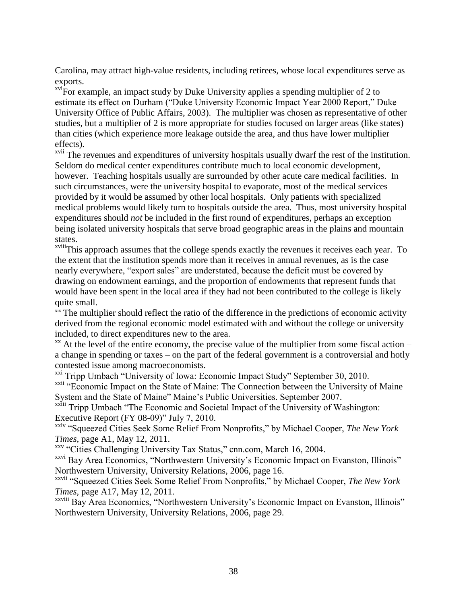Carolina, may attract high-value residents, including retirees, whose local expenditures serve as exports.

 $\overline{a}$ 

<sup>xvi</sup>For example, an impact study by Duke University applies a spending multiplier of 2 to estimate its effect on Durham ("Duke University Economic Impact Year 2000 Report," Duke University Office of Public Affairs, 2003). The multiplier was chosen as representative of other studies, but a multiplier of 2 is more appropriate for studies focused on larger areas (like states) than cities (which experience more leakage outside the area, and thus have lower multiplier effects).

<sup>xvii</sup> The revenues and expenditures of university hospitals usually dwarf the rest of the institution. Seldom do medical center expenditures contribute much to local economic development, however. Teaching hospitals usually are surrounded by other acute care medical facilities. In such circumstances, were the university hospital to evaporate, most of the medical services provided by it would be assumed by other local hospitals. Only patients with specialized medical problems would likely turn to hospitals outside the area. Thus, most university hospital expenditures should *not* be included in the first round of expenditures, perhaps an exception being isolated university hospitals that serve broad geographic areas in the plains and mountain states.

xviiiThis approach assumes that the college spends exactly the revenues it receives each year. To the extent that the institution spends more than it receives in annual revenues, as is the case nearly everywhere, "export sales" are understated, because the deficit must be covered by drawing on endowment earnings, and the proportion of endowments that represent funds that would have been spent in the local area if they had not been contributed to the college is likely quite small.

xix The multiplier should reflect the ratio of the difference in the predictions of economic activity derived from the regional economic model estimated with and without the college or university included, to direct expenditures new to the area.

 $\alpha$ <sup>xx</sup> At the level of the entire economy, the precise value of the multiplier from some fiscal action – a change in spending or taxes – on the part of the federal government is a controversial and hotly contested issue among macroeconomists.

 $xxi$ <sup>xxi</sup> Tripp Umbach "University of Iowa: Economic Impact Study" September 30, 2010.

<sup>xxii</sup> "Economic Impact on the State of Maine: The Connection between the University of Maine System and the State of Maine" Maine's Public Universities. September 2007.

xxiii Tripp Umbach "The Economic and Societal Impact of the University of Washington: Executive Report (FY 08-09)" July 7, 2010.

<sup>xxiv</sup> "Squeezed Cities Seek Some Relief From Nonprofits," by Michael Cooper, *The New York Times,* page A1, May 12, 2011.

xxv "Cities Challenging University Tax Status," cnn.com, March 16, 2004.

xxvi Bay Area Economics, "Northwestern University's Economic Impact on Evanston, Illinois" Northwestern University, University Relations, 2006, page 16.

xxvii "Squeezed Cities Seek Some Relief From Nonprofits," by Michael Cooper, *The New York Times,* page A17, May 12, 2011.

xxviii Bay Area Economics, "Northwestern University's Economic Impact on Evanston, Illinois" Northwestern University, University Relations, 2006, page 29.